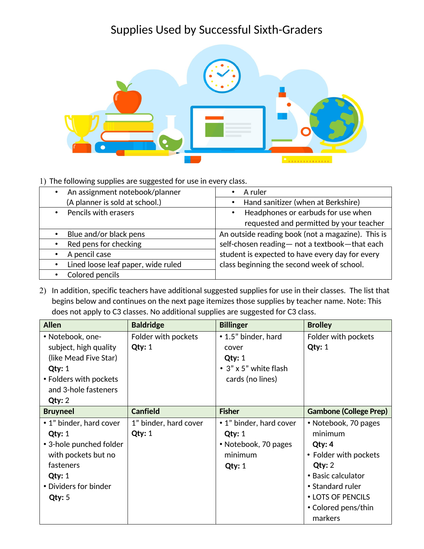## Supplies Used by Successful Sixth-Graders



1) The following supplies are suggested for use in every class.

| An assignment notebook/planner<br>$\bullet$ | A ruler                                           |
|---------------------------------------------|---------------------------------------------------|
| (A planner is sold at school.)              | Hand sanitizer (when at Berkshire)                |
| • Pencils with erasers                      | Headphones or earbuds for use when                |
|                                             | requested and permitted by your teacher           |
| Blue and/or black pens                      | An outside reading book (not a magazine). This is |
| Red pens for checking                       | self-chosen reading- not a textbook-that each     |
| A pencil case                               | student is expected to have every day for every   |
| Lined loose leaf paper, wide ruled          | class beginning the second week of school.        |
| Colored pencils                             |                                                   |

2) In addition, specific teachers have additional suggested supplies for use in their classes. The list that begins below and continues on the next page itemizes those supplies by teacher name. Note: This does not apply to C3 classes. No additional supplies are suggested for C3 class.

| <b>Allen</b>                                                                                                                                           | <b>Baldridge</b>                   | <b>Billinger</b>                                                                             | <b>Brolley</b>                                                                                                                                                                |
|--------------------------------------------------------------------------------------------------------------------------------------------------------|------------------------------------|----------------------------------------------------------------------------------------------|-------------------------------------------------------------------------------------------------------------------------------------------------------------------------------|
| • Notebook, one-<br>subject, high quality<br>(like Mead Five Star)<br>$Q$ ty: 1<br>• Folders with pockets<br>and 3-hole fasteners<br>Qty: 2            | Folder with pockets<br>Qty: 1      | • 1.5" binder, hard<br>cover<br>$Q$ ty: 1<br>$\cdot$ 3" x 5" white flash<br>cards (no lines) | Folder with pockets<br>$Q$ ty: 1                                                                                                                                              |
| <b>Bruyneel</b>                                                                                                                                        | <b>Canfield</b>                    | <b>Fisher</b>                                                                                | <b>Gambone (College Prep)</b>                                                                                                                                                 |
| • 1" binder, hard cover<br>$Q$ ty: 1<br>• 3-hole punched folder<br>with pockets but no<br>fasteners<br>$Q$ ty: 1<br>• Dividers for binder<br>$Q$ ty: 5 | 1" binder, hard cover<br>$Q$ ty: 1 | • 1" binder, hard cover<br>$Q$ ty: 1<br>• Notebook, 70 pages<br>minimum<br>$Q$ ty: 1         | • Notebook, 70 pages<br>minimum<br>Qty: 4<br>• Folder with pockets<br>Qty: 2<br>• Basic calculator<br>• Standard ruler<br>• LOTS OF PENCILS<br>• Colored pens/thin<br>markers |